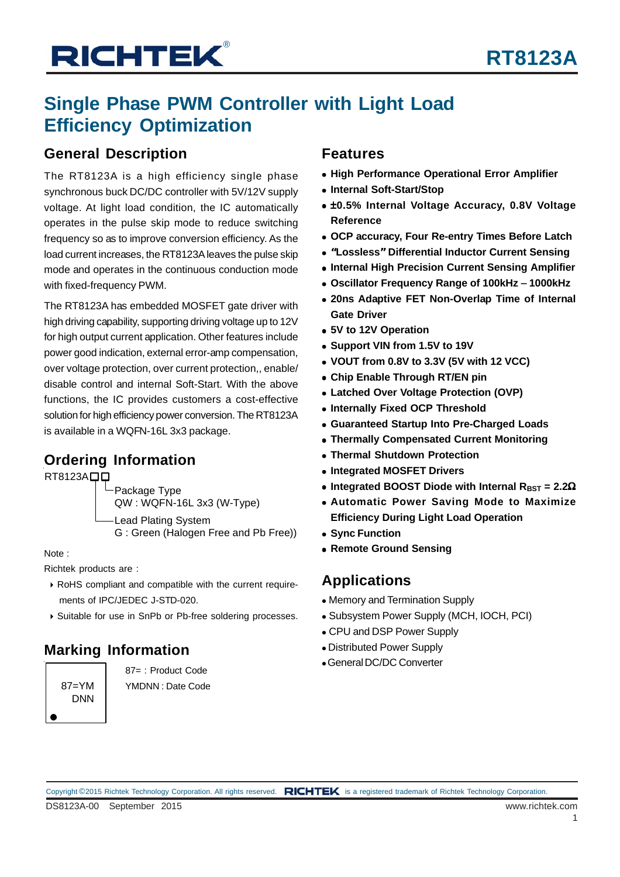# **Single Phase PWM Controller with Light Load Efficiency Optimization**

## **General Description**

The RT8123A is a high efficiency single phase synchronous buck DC/DC controller with 5V/12V supply voltage. At light load condition, the IC automatically operates in the pulse skip mode to reduce switching frequency so as to improve conversion efficiency. As the load current increases, the RT8123A leaves the pulse skip mode and operates in the continuous conduction mode with fixed-frequency PWM.

The RT8123A has embedded MOSFET gate driver with high driving capability, supporting driving voltage up to 12V for high output current application. Other features include power good indication, external error-amp compensation, over voltage protection, over current protection,, enable/ disable control and internal Soft-Start. With the above functions, the IC provides customers a cost-effective solution for high efficiency power conversion. The RT8123A is available in a WQFN-16L 3x3 package.

## **Ordering Information**

 $RT8123A$  $\Box$ 

Package Type QW : WQFN-16L 3x3 (W-Type) -Lead Plating System G : Green (Halogen Free and Pb Free))

Note :

Richtek products are :

- RoHS compliant and compatible with the current require ments of IPC/JEDEC J-STD-020.
- Suitable for use in SnPb or Pb-free soldering processes.

## **Marking Information**

 $87=YM$ DNN

87= : Product Code YMDNN : Date Code

## **Features**

- **High Performance Operational Error Amplifier**
- **Internal Soft-Start/Stop**
- ±**0.5% Internal Voltage Accuracy, 0.8V Voltage Reference**
- **OCP accuracy, Four Re-entry Times Before Latch**
- **"Lossless" Differential Inductor Current Sensing**
- **Internal High Precision Current Sensing Amplifier**
- **Oscillator Frequency Range of 100kHz** − **1000kHz**
- **20ns Adaptive FET Non-Overlap Time of Internal Gate Driver**
- **5V to 12V Operation**
- **Support VIN from 1.5V to 19V**
- **VOUT from 0.8V to 3.3V (5V with 12 VCC)**
- **Chip Enable Through RT/EN pin**
- **Latched Over Voltage Protection (OVP)**
- **Internally Fixed OCP Threshold**
- **Guaranteed Startup Into Pre-Charged Loads**
- **Thermally Compensated Current Monitoring**
- **Thermal Shutdown Protection**
- **Integrated MOSFET Drivers**
- Integrated BOOST Diode with Internal R<sub>BST</sub> = 2.2Ω
- **Automatic Power Saving Mode to Maximize Efficiency During Light Load Operation**
- **Sync Function**
- **Remote Ground Sensing**

## **Applications**

- Memory and Termination Supply
- Subsystem Power Supply (MCH, IOCH, PCI)
- CPU and DSP Power Supply
- Distributed Power Supply
- General DC/DC Converter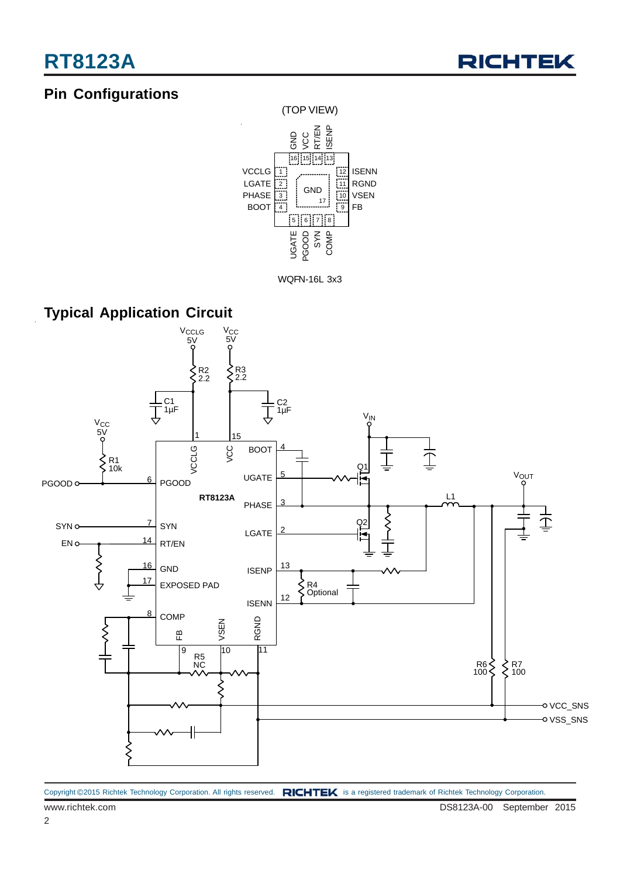# **Pin Configurations**





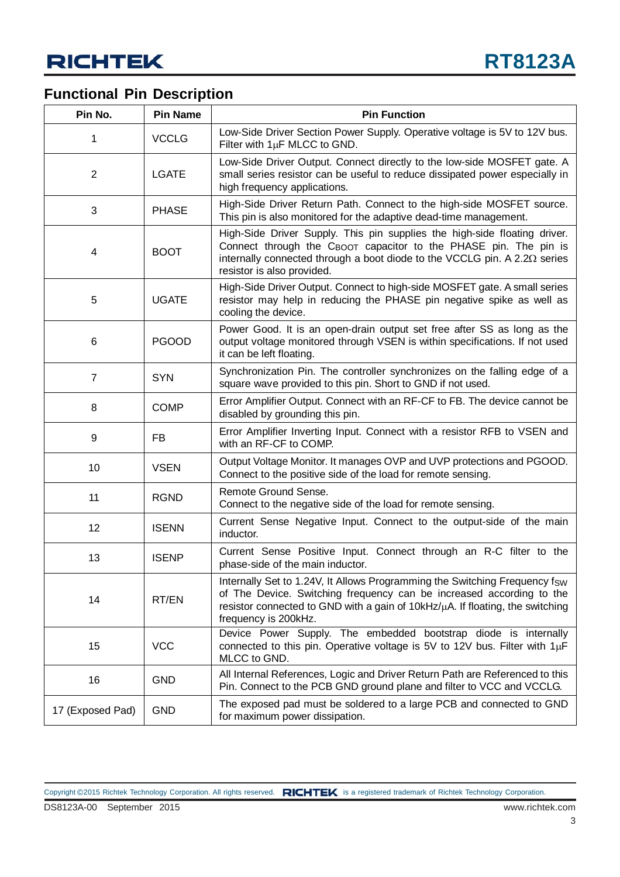## **Functional Pin Description**

| Pin No.                 | <b>Pin Name</b> | <b>Pin Function</b>                                                                                                                                                                                                                                                          |  |  |
|-------------------------|-----------------|------------------------------------------------------------------------------------------------------------------------------------------------------------------------------------------------------------------------------------------------------------------------------|--|--|
| 1                       | <b>VCCLG</b>    | Low-Side Driver Section Power Supply. Operative voltage is 5V to 12V bus.<br>Filter with $1\mu$ F MLCC to GND.                                                                                                                                                               |  |  |
| $\overline{2}$          | <b>LGATE</b>    | Low-Side Driver Output. Connect directly to the low-side MOSFET gate. A<br>small series resistor can be useful to reduce dissipated power especially in<br>high frequency applications.                                                                                      |  |  |
| 3                       | <b>PHASE</b>    | High-Side Driver Return Path. Connect to the high-side MOSFET source.<br>This pin is also monitored for the adaptive dead-time management.                                                                                                                                   |  |  |
| $\overline{\mathbf{4}}$ | <b>BOOT</b>     | High-Side Driver Supply. This pin supplies the high-side floating driver.<br>Connect through the C <sub>BOOT</sub> capacitor to the PHASE pin. The pin is<br>internally connected through a boot diode to the VCCLG pin. A 2.2 $\Omega$ series<br>resistor is also provided. |  |  |
| 5                       | <b>UGATE</b>    | High-Side Driver Output. Connect to high-side MOSFET gate. A small series<br>resistor may help in reducing the PHASE pin negative spike as well as<br>cooling the device.                                                                                                    |  |  |
| 6                       | <b>PGOOD</b>    | Power Good. It is an open-drain output set free after SS as long as the<br>output voltage monitored through VSEN is within specifications. If not used<br>it can be left floating.                                                                                           |  |  |
| $\overline{7}$          | <b>SYN</b>      | Synchronization Pin. The controller synchronizes on the falling edge of a<br>square wave provided to this pin. Short to GND if not used.                                                                                                                                     |  |  |
| 8                       | <b>COMP</b>     | Error Amplifier Output. Connect with an RF-CF to FB. The device cannot be<br>disabled by grounding this pin.                                                                                                                                                                 |  |  |
| 9                       | <b>FB</b>       | Error Amplifier Inverting Input. Connect with a resistor RFB to VSEN and<br>with an RF-CF to COMP.                                                                                                                                                                           |  |  |
| 10                      | <b>VSEN</b>     | Output Voltage Monitor. It manages OVP and UVP protections and PGOOD.<br>Connect to the positive side of the load for remote sensing.                                                                                                                                        |  |  |
| 11                      | <b>RGND</b>     | Remote Ground Sense.<br>Connect to the negative side of the load for remote sensing.                                                                                                                                                                                         |  |  |
| 12                      | <b>ISENN</b>    | Current Sense Negative Input. Connect to the output-side of the main<br>inductor.                                                                                                                                                                                            |  |  |
| 13                      | <b>ISENP</b>    | Current Sense Positive Input. Connect through an R-C filter to the<br>phase-side of the main inductor.                                                                                                                                                                       |  |  |
| 14                      | RT/EN           | Internally Set to 1.24V, It Allows Programming the Switching Frequency fsw<br>of The Device. Switching frequency can be increased according to the<br>resistor connected to GND with a gain of 10kHz/µA. If floating, the switching<br>frequency is 200kHz.                  |  |  |
| 15                      | <b>VCC</b>      | Device Power Supply. The embedded bootstrap diode is internally<br>connected to this pin. Operative voltage is 5V to 12V bus. Filter with $1\mu$ F<br>MLCC to GND.                                                                                                           |  |  |
| 16                      | <b>GND</b>      | All Internal References, Logic and Driver Return Path are Referenced to this<br>Pin. Connect to the PCB GND ground plane and filter to VCC and VCCLG.                                                                                                                        |  |  |
| 17 (Exposed Pad)        | <b>GND</b>      | The exposed pad must be soldered to a large PCB and connected to GND<br>for maximum power dissipation.                                                                                                                                                                       |  |  |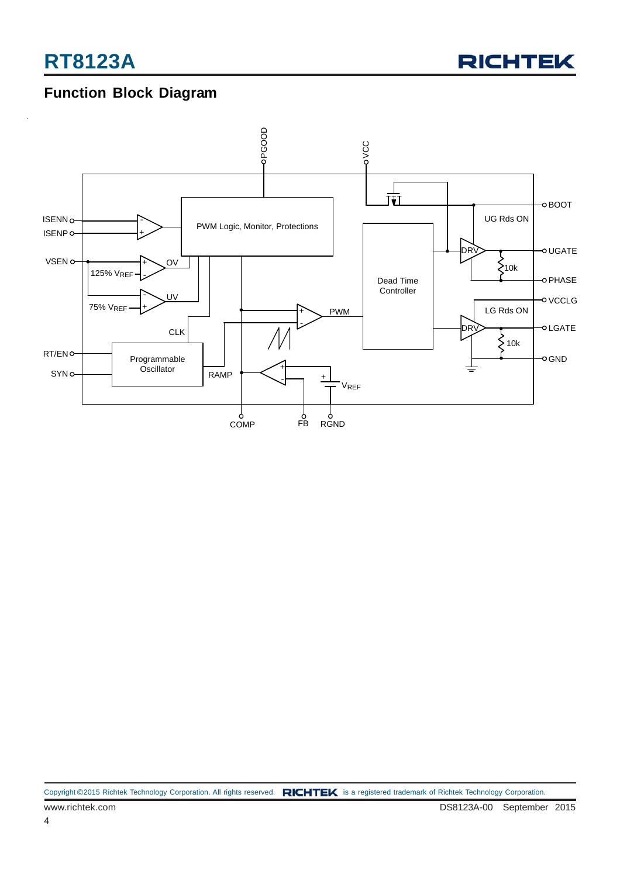

## **Function Block Diagram**

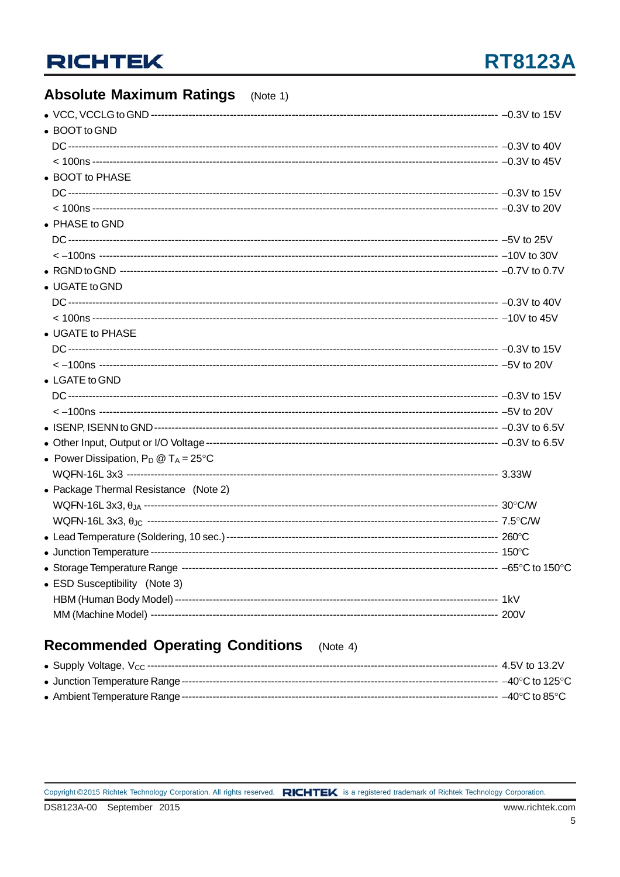#### **Absolute Maximum Ratings**  $(Note 1)$

| • BOOT to GND                                  |  |
|------------------------------------------------|--|
|                                                |  |
|                                                |  |
| • BOOT to PHASE                                |  |
|                                                |  |
|                                                |  |
| • PHASE to GND                                 |  |
|                                                |  |
|                                                |  |
|                                                |  |
| • UGATE to GND                                 |  |
|                                                |  |
|                                                |  |
| • UGATE to PHASE                               |  |
|                                                |  |
|                                                |  |
| • LGATE to GND                                 |  |
|                                                |  |
|                                                |  |
|                                                |  |
|                                                |  |
|                                                |  |
| • Power Dissipation, $P_D @ T_A = 25^{\circ}C$ |  |
|                                                |  |
| • Package Thermal Resistance (Note 2)          |  |
|                                                |  |
|                                                |  |
|                                                |  |
|                                                |  |
|                                                |  |
| • ESD Susceptibility (Note 3)                  |  |
|                                                |  |
|                                                |  |

#### **Recommended Operating Conditions**  $(Note 4)$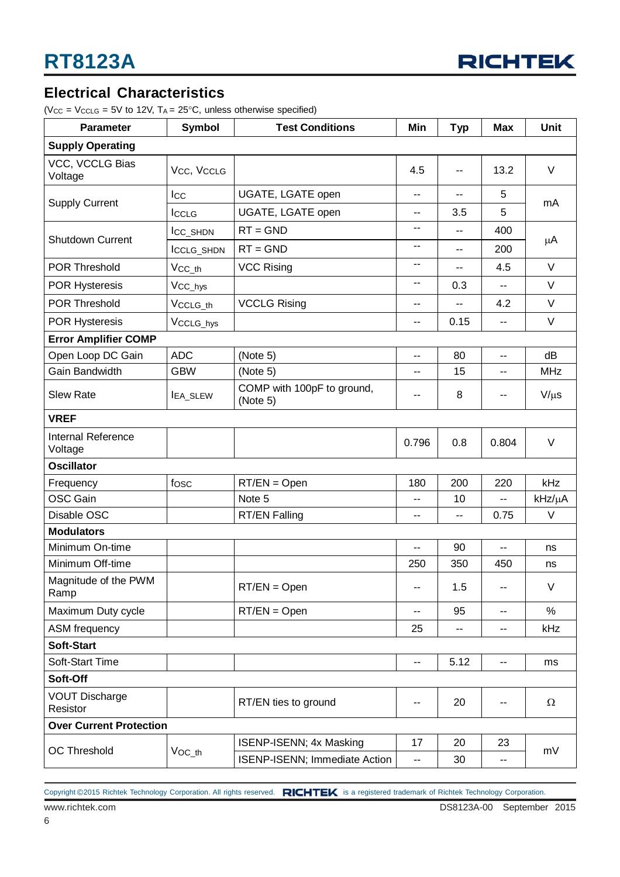

## **Electrical Characteristics**

( $V_{CC}$  =  $V_{CCLG}$  = 5V to 12V,  $T_A$  = 25°C, unless otherwise specified)

| Parameter                            | <b>Symbol</b>       | <b>Test Conditions</b>                 | Min   | <b>Typ</b> | <b>Max</b>               | <b>Unit</b> |  |
|--------------------------------------|---------------------|----------------------------------------|-------|------------|--------------------------|-------------|--|
| <b>Supply Operating</b>              |                     |                                        |       |            |                          |             |  |
| VCC, VCCLG Bias<br>Voltage           | Vcc, VccLG          |                                        | 4.5   | н.         | 13.2                     | $\vee$      |  |
|                                      | <b>I</b> cc         | UGATE, LGATE open                      | ۰.    | н.         | 5                        | mA          |  |
| <b>Supply Current</b>                | ICCLG               | UGATE, LGATE open                      | --    | 3.5        | 5                        |             |  |
| <b>Shutdown Current</b>              | ICC_SHDN            | $RT = GND$                             | --    | ۰.         | 400                      |             |  |
|                                      | ICCLG_SHDN          | $RT = GND$                             | --    | --         | 200                      | μA          |  |
| <b>POR Threshold</b>                 | $Vcc$ _th           | <b>VCC Rising</b>                      | --    | $=$        | 4.5                      | $\vee$      |  |
| <b>POR Hysteresis</b>                | V <sub>CC_hys</sub> |                                        | --    | 0.3        | --                       | $\vee$      |  |
| <b>POR Threshold</b>                 | VCCLG_th            | <b>VCCLG Rising</b>                    | --    |            | 4.2                      | V           |  |
| <b>POR Hysteresis</b>                | VCCLG_hys           |                                        | --    | 0.15       | $\overline{a}$           | V           |  |
| <b>Error Amplifier COMP</b>          |                     |                                        |       |            |                          |             |  |
| Open Loop DC Gain                    | <b>ADC</b>          | (Note 5)                               | н.    | 80         | $\overline{\phantom{a}}$ | dB          |  |
| Gain Bandwidth                       | <b>GBW</b>          | (Note 5)                               | --    | 15         | --                       | <b>MHz</b>  |  |
| <b>Slew Rate</b>                     | <b>IEA_SLEW</b>     | COMP with 100pF to ground,<br>(Note 5) | --    | 8          | --                       | $V/\mu s$   |  |
| <b>VREF</b>                          |                     |                                        |       |            |                          |             |  |
| <b>Internal Reference</b><br>Voltage |                     |                                        | 0.796 | 0.8        | 0.804                    | $\vee$      |  |
| <b>Oscillator</b>                    |                     |                                        |       |            |                          |             |  |
| Frequency                            | fosc                | $RT/EN = Open$                         | 180   | 200        | 220                      | kHz         |  |
| <b>OSC Gain</b>                      |                     | Note 5                                 | --    | 10         | --                       | kHz/µA      |  |
| Disable OSC                          |                     | <b>RT/EN Falling</b>                   | --    | --         | 0.75                     | V           |  |
| <b>Modulators</b>                    |                     |                                        |       |            |                          |             |  |
| Minimum On-time                      |                     |                                        | --    | 90         | $-$                      | ns          |  |
| Minimum Off-time                     |                     |                                        | 250   | 350        | 450                      | ns          |  |
| Magnitude of the PWM<br>Ramp         |                     | $RT/EN = Open$                         | ۰-    | 1.5        | --                       | V           |  |
| Maximum Duty cycle                   |                     | $RT/EN = Open$                         | --    | 95         | --                       | $\%$        |  |
| ASM frequency                        |                     |                                        | 25    | --         | --                       | kHz         |  |
| <b>Soft-Start</b>                    |                     |                                        |       |            |                          |             |  |
| <b>Soft-Start Time</b>               |                     |                                        | --    | 5.12       | $\overline{\phantom{a}}$ | ms          |  |
| Soft-Off                             |                     |                                        |       |            |                          |             |  |
| <b>VOUT Discharge</b><br>Resistor    |                     | RT/EN ties to ground                   | --    | 20         | $\overline{\phantom{a}}$ | Ω           |  |
| <b>Over Current Protection</b>       |                     |                                        |       |            |                          |             |  |
|                                      |                     | ISENP-ISENN; 4x Masking                | 17    | 20         | 23                       | mV          |  |
| <b>OC Threshold</b>                  | $VOC_th$            | ISENP-ISENN; Immediate Action          | --    | 30         | $\overline{\phantom{a}}$ |             |  |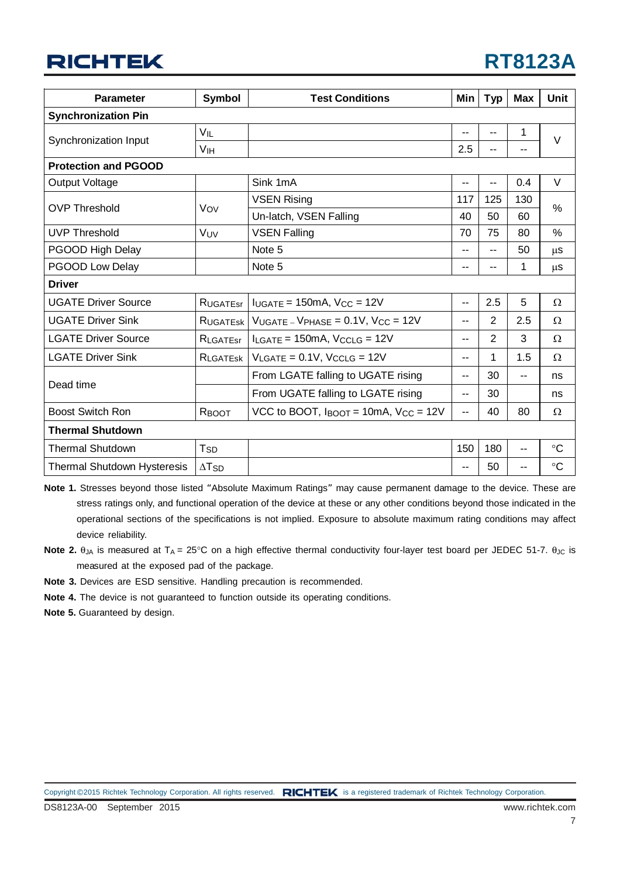| <b>RT8123A</b> |  |
|----------------|--|
|----------------|--|

| <b>Parameter</b>                                                                                                                                                                                              | Symbol                   | <b>Test Conditions</b>                                                        |     | <b>Typ</b> | <b>Max</b> | Unit        |  |
|---------------------------------------------------------------------------------------------------------------------------------------------------------------------------------------------------------------|--------------------------|-------------------------------------------------------------------------------|-----|------------|------------|-------------|--|
| <b>Synchronization Pin</b>                                                                                                                                                                                    |                          |                                                                               |     |            |            |             |  |
|                                                                                                                                                                                                               | VIL                      |                                                                               |     | --         | 1          | $\vee$      |  |
| Synchronization Input                                                                                                                                                                                         | <b>V<sub>IH</sub></b>    |                                                                               | 2.5 | --         | --         |             |  |
| <b>Protection and PGOOD</b>                                                                                                                                                                                   |                          |                                                                               |     |            |            |             |  |
| <b>Output Voltage</b>                                                                                                                                                                                         |                          | Sink 1mA                                                                      | $-$ | --         | 0.4        | $\vee$      |  |
| <b>VSEN Rising</b><br><b>OVP Threshold</b><br>Vov<br>Un-latch, VSEN Falling<br><b>UVP Threshold</b><br><b>VSEN Falling</b><br>VUV<br>PGOOD High Delay<br>Note 5<br>PGOOD Low Delay<br>Note 5<br><b>Driver</b> |                          |                                                                               | 117 | 125        | 130        | $\%$        |  |
|                                                                                                                                                                                                               |                          | 40                                                                            | 50  | 60         |            |             |  |
|                                                                                                                                                                                                               |                          |                                                                               | 70  | 75         | 80         | %           |  |
|                                                                                                                                                                                                               |                          |                                                                               | $-$ | --         | 50         | μS          |  |
|                                                                                                                                                                                                               |                          |                                                                               | --  |            | 1          | μS          |  |
|                                                                                                                                                                                                               |                          |                                                                               |     |            |            |             |  |
| <b>UGATE Driver Source</b>                                                                                                                                                                                    | <b>RUGATEST</b>          | $IUGATE = 150mA$ , $VCC = 12V$                                                | --  | 2.5        | 5          | Ω           |  |
| <b>UGATE Driver Sink</b>                                                                                                                                                                                      | <b>RUGATESK</b>          | $V_{UGATE}$ – $V_{PHASE}$ = 0.1V, $V_{CC}$ = 12V                              | $-$ | 2          | 2.5        | Ω           |  |
| <b>LGATE Driver Source</b>                                                                                                                                                                                    | RLGATEST                 | $I_{LGATE}$ = 150mA, $V_{CCLG}$ = 12V                                         | $-$ | 2          | 3          | Ω           |  |
| <b>LGATE Driver Sink</b>                                                                                                                                                                                      | RLGATESK                 | $V_{LGATE} = 0.1V$ , $V_{CCLG} = 12V$                                         | --  | 1          | 1.5        | Ω           |  |
| Dead time                                                                                                                                                                                                     |                          | From LGATE falling to UGATE rising                                            | --  | 30         | $- -$      | ns          |  |
|                                                                                                                                                                                                               |                          | From UGATE falling to LGATE rising                                            | $-$ | 30         |            | ns          |  |
| <b>Boost Switch Ron</b>                                                                                                                                                                                       | RBOOT                    | VCC to BOOT, $I_{\text{BOOT}} = 10 \text{mA}$ , $V_{\text{CC}} = 12 \text{V}$ | --  | 40         | 80         | Ω           |  |
| <b>Thermal Shutdown</b>                                                                                                                                                                                       |                          |                                                                               |     |            |            |             |  |
| <b>Thermal Shutdown</b>                                                                                                                                                                                       | T <sub>SD</sub>          |                                                                               | 150 | 180        | --         | $^{\circ}C$ |  |
| <b>Thermal Shutdown Hysteresis</b>                                                                                                                                                                            | $\Delta$ T <sub>SD</sub> |                                                                               | $-$ | 50         | --         | $^{\circ}C$ |  |

**Note 1.** Stresses beyond those listed "Absolute Maximum Ratings" may cause permanent damage to the device. These are stress ratings only, and functional operation of the device at these or any other conditions beyond those indicated in the operational sections of the specifications is not implied. Exposure to absolute maximum rating conditions may affect device reliability.

- **Note 2.** θ<sub>JA</sub> is measured at T<sub>A</sub> = 25°C on a high effective thermal conductivity four-layer test board per JEDEC 51-7. θ<sub>JC</sub> is measured at the exposed pad of the package.
- **Note 3.** Devices are ESD sensitive. Handling precaution is recommended.
- **Note 4.** The device is not guaranteed to function outside its operating conditions.
- **Note 5.** Guaranteed by design.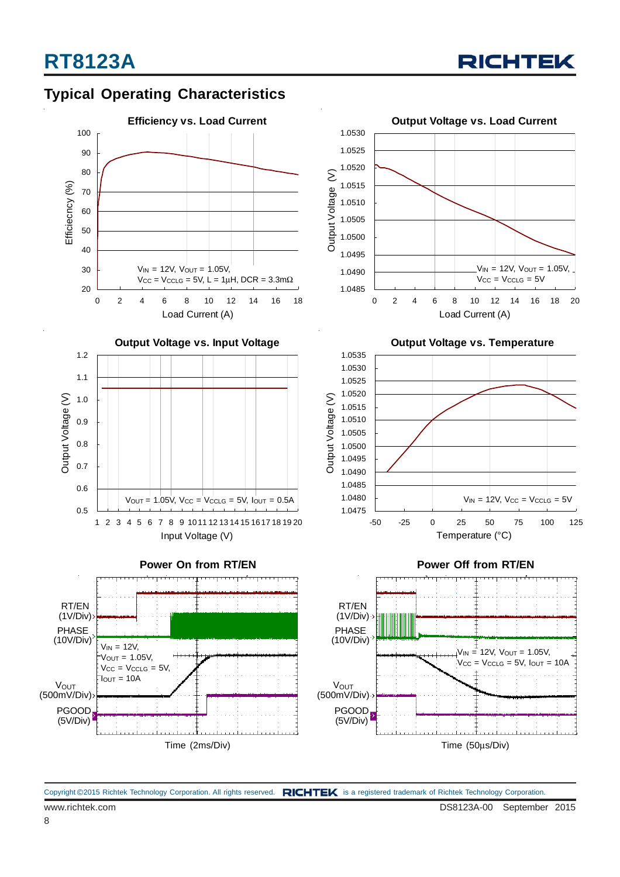

## **Typical Operating Characteristics**

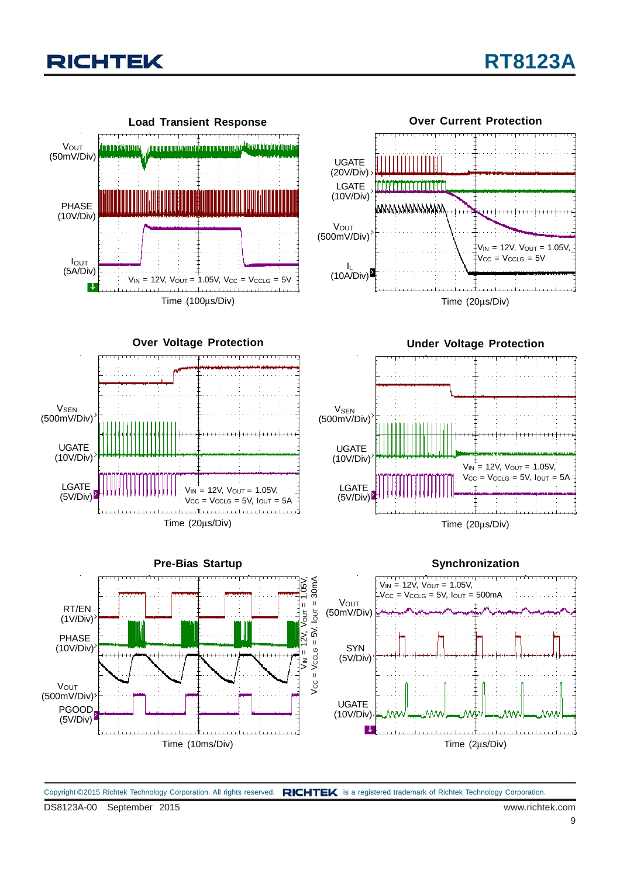

Copyright ©2015 Richtek Technology Corporation. All rights reserved. RICHTEK is a registered trademark of Richtek Technology Corporation.

UGATE (10V/Div)

L.

(500mV/Div)

PGOOD (5V/Div)

Time (10ms/Div)

Time (2μs/Div)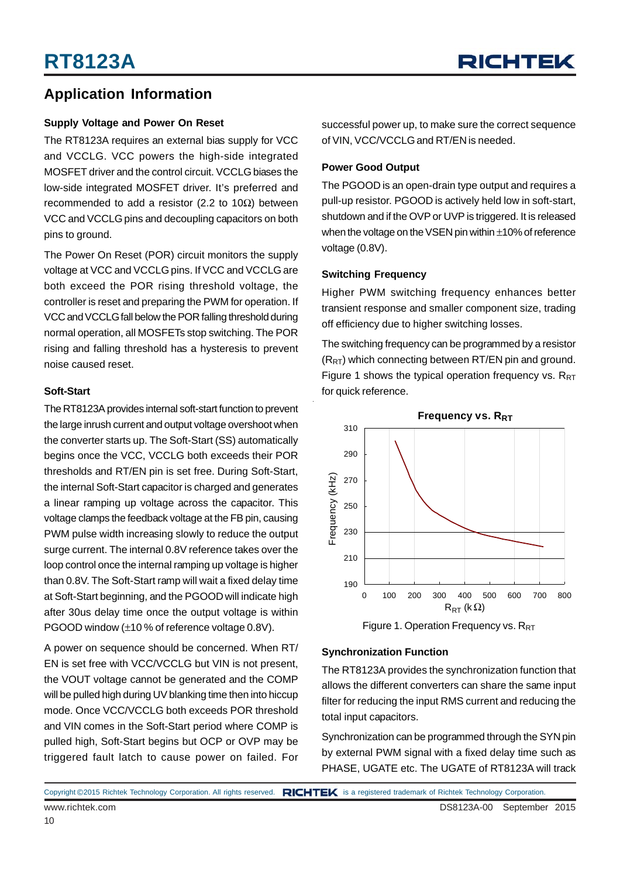### **Application Information**

#### **Supply Voltage and Power On Reset**

The RT8123A requires an external bias supply for VCC and VCCLG. VCC powers the high-side integrated MOSFET driver and the control circuit. VCCLG biases the low-side integrated MOSFET driver. It's preferred and recommended to add a resistor (2.2 to 10Ω) between VCC and VCCLG pins and decoupling capacitors on both pins to ground.

The Power On Reset (POR) circuit monitors the supply voltage at VCC and VCCLG pins. If VCC and VCCLG are both exceed the POR rising threshold voltage, the controller is reset and preparing the PWM for operation. If VCC and VCCLG fall below the POR falling threshold during normal operation, all MOSFETs stop switching. The POR rising and falling threshold has a hysteresis to prevent noise caused reset.

#### **Soft-Start**

The RT8123A provides internal soft-start function to prevent the large inrush current and output voltage overshoot when the converter starts up. The Soft-Start (SS) automatically begins once the VCC, VCCLG both exceeds their POR thresholds and RT/EN pin is set free. During Soft-Start, the internal Soft-Start capacitor is charged and generates a linear ramping up voltage across the capacitor. This voltage clamps the feedback voltage at the FB pin, causing PWM pulse width increasing slowly to reduce the output surge current. The internal 0.8V reference takes over the loop control once the internal ramping up voltage is higher than 0.8V. The Soft-Start ramp will wait a fixed delay time at Soft-Start beginning, and the PGOOD will indicate high after 30us delay time once the output voltage is within PGOOD window (±10 % of reference voltage 0.8V).

A power on sequence should be concerned. When RT/ EN is set free with VCC/VCCLG but VIN is not present, the VOUT voltage cannot be generated and the COMP will be pulled high during UV blanking time then into hiccup mode. Once VCC/VCCLG both exceeds POR threshold and VIN comes in the Soft-Start period where COMP is pulled high, Soft-Start begins but OCP or OVP may be triggered fault latch to cause power on failed. For successful power up, to make sure the correct sequence of VIN, VCC/VCCLG and RT/EN is needed.

#### **Power Good Output**

The PGOOD is an open-drain type output and requires a pull-up resistor. PGOOD is actively held low in soft-start, shutdown and if the OVP or UVP is triggered. It is released when the voltage on the VSEN pin within ±10% of reference voltage (0.8V).

#### **Switching Frequency**

Higher PWM switching frequency enhances better transient response and smaller component size, trading off efficiency due to higher switching losses.

The switching frequency can be programmed by a resistor  $(R_{RT})$  which connecting between RT/EN pin and ground. Figure 1 shows the typical operation frequency vs.  $R_{RT}$ for quick reference.



Figure 1. Operation Frequency vs. R<sub>RT</sub>

#### **Synchronization Function**

The RT8123A provides the synchronization function that allows the different converters can share the same input filter for reducing the input RMS current and reducing the total input capacitors.

Synchronization can be programmed through the SYN pin by external PWM signal with a fixed delay time such as PHASE, UGATE etc. The UGATE of RT8123A will track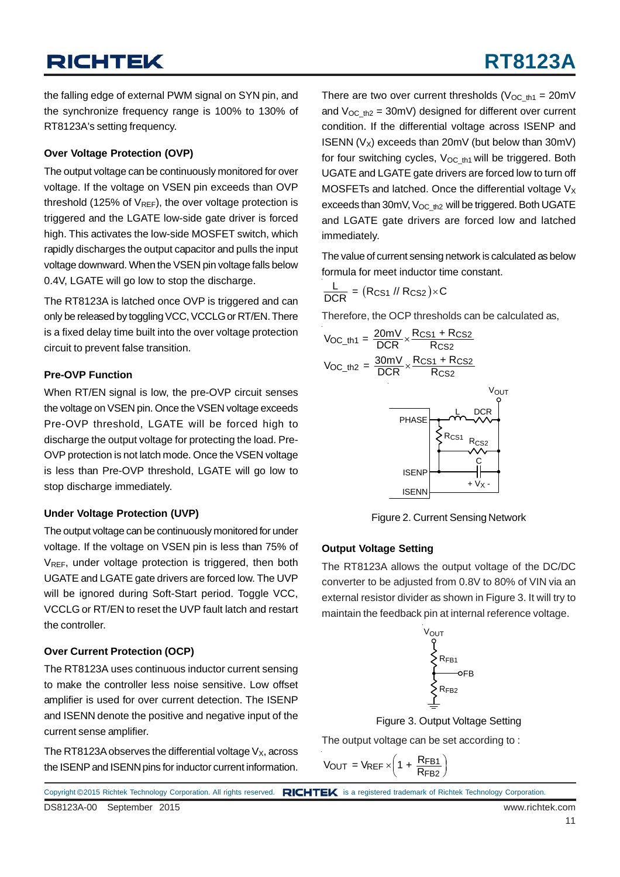the falling edge of external PWM signal on SYN pin, and the synchronize frequency range is 100% to 130% of RT8123A's setting frequency.

#### **Over Voltage Protection (OVP)**

The output voltage can be continuously monitored for over voltage. If the voltage on VSEN pin exceeds than OVP threshold (125% of  $V_{REF}$ ), the over voltage protection is triggered and the LGATE low-side gate driver is forced high. This activates the low-side MOSFET switch, which rapidly discharges the output capacitor and pulls the input voltage downward. When the VSEN pin voltage falls below 0.4V, LGATE will go low to stop the discharge.

The RT8123A is latched once OVP is triggered and can only be released by toggling VCC, VCCLG or RT/EN. There is a fixed delay time built into the over voltage protection circuit to prevent false transition.

### **Pre-OVP Function**

When RT/EN signal is low, the pre-OVP circuit senses the voltage on VSEN pin. Once the VSEN voltage exceeds Pre-OVP threshold, LGATE will be forced high to discharge the output voltage for protecting the load. Pre-OVP protection is not latch mode. Once the VSEN voltage is less than Pre-OVP threshold, LGATE will go low to stop discharge immediately.

#### **Under Voltage Protection (UVP)**

The output voltage can be continuously monitored for under voltage. If the voltage on VSEN pin is less than 75% of V<sub>REF</sub>, under voltage protection is triggered, then both UGATE and LGATE gate drivers are forced low. The UVP will be ignored during Soft-Start period. Toggle VCC, VCCLG or RT/EN to reset the UVP fault latch and restart the controller.

#### **Over Current Protection (OCP)**

The RT8123A uses continuous inductor current sensing to make the controller less noise sensitive. Low offset amplifier is used for over current detection. The ISENP and ISENN denote the positive and negative input of the current sense amplifier.

The RT8123A observes the differential voltage  $V_X$ , across the ISENP and ISENN pins for inductor current information. There are two over current thresholds ( $V_{OC~th1} = 20$ mV and  $V_{OC-fh2} = 30$ mV) designed for different over current condition. If the differential voltage across ISENP and ISENN ( $V_x$ ) exceeds than 20mV (but below than 30mV) for four switching cycles,  $V_{OC~th1}$  will be triggered. Both UGATE and LGATE gate drivers are forced low to turn off MOSFETs and latched. Once the differential voltage  $V_x$ exceeds than 30mV,  $V_{OC-h2}$  will be triggered. Both UGATE and LGATE gate drivers are forced low and latched immediately.

The value of current sensing network is calculated as below formula for meet inductor time constant.

$$
\frac{L}{DCR} = (R_{CS1} / / R_{CS2}) \times C
$$

Therefore, the OCP thresholds can be calculated as,



Figure 2. Current Sensing Network

### **Output Voltage Setting**

The RT8123A allows the output voltage of the DC/DC converter to be adjusted from 0.8V to 80% of VIN via an external resistor divider as shown in Figure 3. It will try to maintain the feedback pin at internal reference voltage.



Figure 3. Output Voltage Setting

The output voltage can be set according to :

$$
V_{OUT} = V_{REF} \times \left(1 + \frac{R_{FB1}}{R_{FB2}}\right)
$$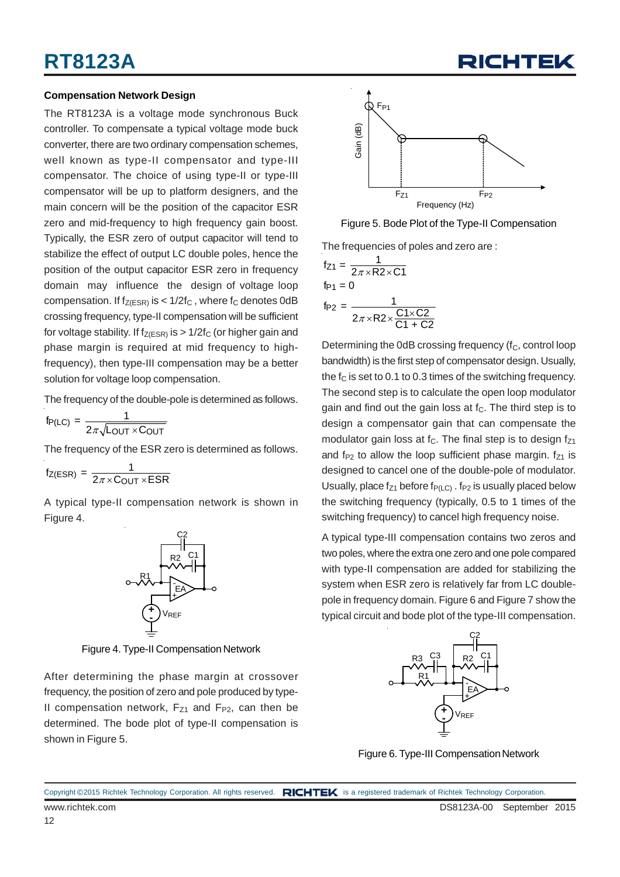#### **Compensation Network Design**

The RT8123A is a voltage mode synchronous Buck controller. To compensate a typical voltage mode buck converter, there are two ordinary compensation schemes, well known as type-II compensator and type-III compensator. The choice of using type-II or type-III compensator will be up to platform designers, and the main concern will be the position of the capacitor ESR zero and mid-frequency to high frequency gain boost. Typically, the ESR zero of output capacitor will tend to stabilize the effect of output LC double poles, hence the position of the output capacitor ESR zero in frequency domain may influence the design of voltage loop compensation. If  $f_{Z(ESR)}$  is <  $1/2f_C$ , where  $f_C$  denotes 0dB crossing frequency, type-II compensation will be sufficient for voltage stability. If  $f_{Z(ESR)}$  is > 1/2f<sub>C</sub> (or higher gain and phase margin is required at mid frequency to highfrequency), then type-III compensation may be a better solution for voltage loop compensation.

The frequency of the double-pole is determined as follows.

$$
f_{P(LC)} = \frac{1}{2\pi\sqrt{L_{OUT} \times C_{OUT}}}
$$

The frequency of the ESR zero is determined as follows.

 $f_{Z(ESR)} = \frac{1}{2\pi \times C_{\text{OUT}} \times ESR}$ 

A typical type-II compensation network is shown in Figure 4.



Figure 4. Type-II Compensation Network

After determining the phase margin at crossover frequency, the position of zero and pole produced by type-II compensation network,  $F_{Z1}$  and  $F_{P2}$ , can then be determined. The bode plot of type-II compensation is shown in Figure 5.



Figure 5. Bode Plot of the Type-II Compensation

The frequencies of poles and zero are :

$$
f_{Z1} = \frac{1}{2\pi \times R2 \times C1}
$$
  
fp<sub>1</sub> = 0  
fp<sub>2</sub> = 
$$
\frac{1}{2\pi \times R2 \times \frac{C1 \times C2}{C1 + C2}}
$$

Determining the 0dB crossing frequency (f<sub>C</sub>, control loop bandwidth) is the first step of compensator design. Usually, the  $f_C$  is set to 0.1 to 0.3 times of the switching frequency. The second step is to calculate the open loop modulator gain and find out the gain loss at  $f<sub>C</sub>$ . The third step is to design a compensator gain that can compensate the modulator gain loss at  $f<sub>C</sub>$ . The final step is to design  $f<sub>Z1</sub>$ and f<sub>P2</sub> to allow the loop sufficient phase margin.  $f_{Z1}$  is designed to cancel one of the double-pole of modulator. Usually, place  $f_{Z1}$  before  $f_{P(LC)}$ .  $f_{P2}$  is usually placed below the switching frequency (typically, 0.5 to 1 times of the switching frequency) to cancel high frequency noise.

A typical type-III compensation contains two zeros and two poles, where the extra one zero and one pole compared with type-II compensation are added for stabilizing the system when ESR zero is relatively far from LC doublepole in frequency domain. Figure 6 and Figure 7 show the typical circuit and bode plot of the type-III compensation.



Figure 6. Type-III Compensation Network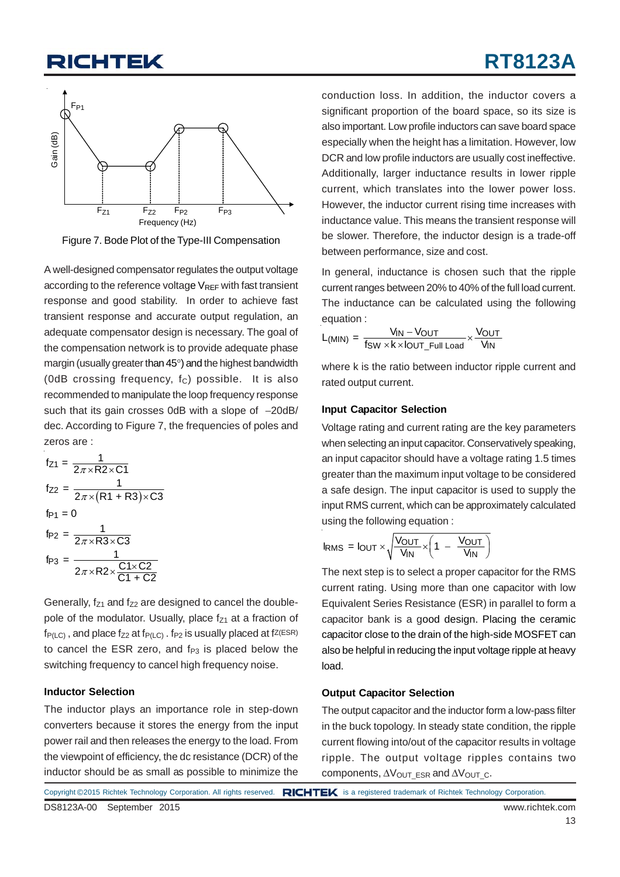

Figure 7. Bode Plot of the Type-III Compensation

A well-designed compensator regulates the output voltage according to the reference voltage  $V_{REF}$  with fast transient response and good stability. In order to achieve fast transient response and accurate output regulation, an adequate compensator design is necessary. The goal of the compensation network is to provide adequate phase margin (usually greater than 45°) and the highest bandwidth (0dB crossing frequency,  $f_C$ ) possible. It is also recommended to manipulate the loop frequency response such that its gain crosses 0dB with a slope of  $-20$ dB/ dec. According to Figure 7, the frequencies of poles and zeros are :

$$
f_{Z1} = \frac{1}{2\pi \times R2 \times C1}
$$
  
\n
$$
f_{Z2} = \frac{1}{2\pi \times (R1 + R3) \times C3}
$$
  
\n
$$
f_{P1} = 0
$$
  
\n
$$
f_{P2} = \frac{1}{2\pi \times R3 \times C3}
$$
  
\n
$$
f_{P3} = \frac{1}{2\pi \times R2 \times \frac{C1 \times C2}{C1 + C2}}
$$

Generally,  $f_{z1}$  and  $f_{z2}$  are designed to cancel the doublepole of the modulator. Usually, place  $f_{Z1}$  at a fraction of  $f_{P(IC)}$ , and place  $f_{Z2}$  at  $f_{P(IC)}$ .  $f_{P2}$  is usually placed at  $fZ(ESR)$ to cancel the ESR zero, and  $f_{P3}$  is placed below the switching frequency to cancel high frequency noise.

#### **Inductor Selection**

The inductor plays an importance role in step-down converters because it stores the energy from the input power rail and then releases the energy to the load. From the viewpoint of efficiency, the dc resistance (DCR) of the inductor should be as small as possible to minimize the conduction loss. In addition, the inductor covers a significant proportion of the board space, so its size is also important. Low profile inductors can save board space especially when the height has a limitation. However, low DCR and low profile inductors are usually cost ineffective. Additionally, larger inductance results in lower ripple current, which translates into the lower power loss. However, the inductor current rising time increases with inductance value. This means the transient response will be slower. Therefore, the inductor design is a trade-off between performance, size and cost.

In general, inductance is chosen such that the ripple current ranges between 20% to 40% of the full load current. The inductance can be calculated using the following equation :

$$
L_{(MIN)} = \frac{V_{IN} - V_{OUT}}{f_{SW} \times k \times l_{OUT\_Full\ Load}} \times \frac{V_{OUT}}{V_{IN}}
$$

where k is the ratio between inductor ripple current and rated output current.

#### **Input Capacitor Selection**

Voltage rating and current rating are the key parameters when selecting an input capacitor. Conservatively speaking, an input capacitor should have a voltage rating 1.5 times greater than the maximum input voltage to be considered a safe design. The input capacitor is used to supply the input RMS current, which can be approximately calculated using the following equation :

$$
I_{RMS} = I_{OUT} \times \sqrt{\frac{V_{OUT}}{V_{IN}} \times \left(1 - \frac{V_{OUT}}{V_{IN}}\right)}
$$

The next step is to select a proper capacitor for the RMS current rating. Using more than one capacitor with low Equivalent Series Resistance (ESR) in parallel to form a capacitor bank is a good design. Placing the ceramic capacitor close to the drain of the high-side MOSFET can also be helpful in reducing the input voltage ripple at heavy load.

#### **Output Capacitor Selection**

The output capacitor and the inductor form a low-pass filter in the buck topology. In steady state condition, the ripple current flowing into/out of the capacitor results in voltage ripple. The output voltage ripples contains two components,  $\Delta V_{\text{OUT}}$  ESR and  $\Delta V_{\text{OUT}}$  c.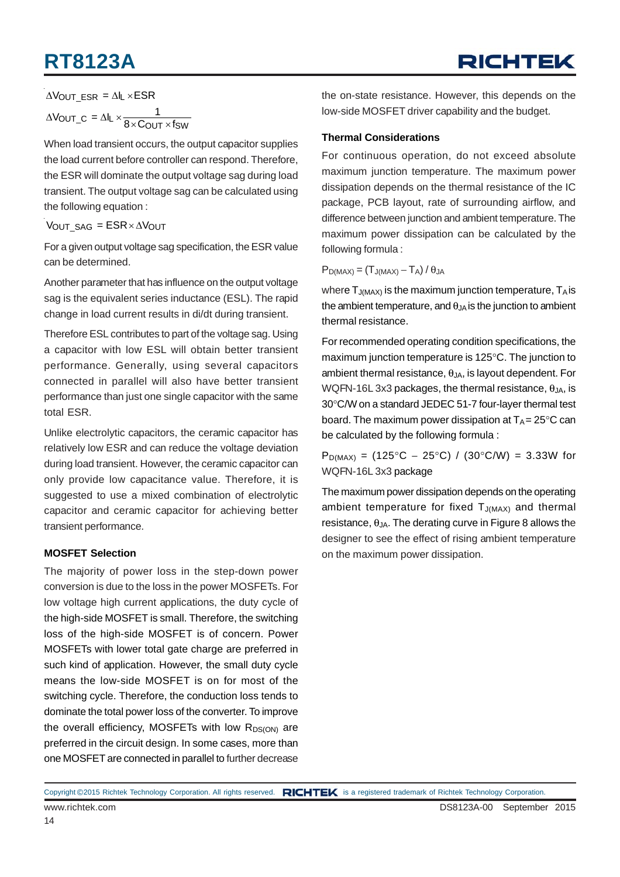# **RT8123A**

 $\Delta$ Vout\_esr =  $\Delta$ IL  $\times$ ESR

$$
\Delta V_{OUT\_C} = \Delta I_L \times \frac{1}{8 \times C_{OUT} \times f_{SW}}
$$

When load transient occurs, the output capacitor supplies the load current before controller can respond. Therefore, the ESR will dominate the output voltage sag during load transient. The output voltage sag can be calculated using the following equation :

VOUT  $SAG = ESR \times \Delta V_{\text{OUT}}$ 

For a given output voltage sag specification, the ESR value can be determined.

Another parameter that has influence on the output voltage sag is the equivalent series inductance (ESL). The rapid change in load current results in di/dt during transient.

Therefore ESL contributes to part of the voltage sag. Using a capacitor with low ESL will obtain better transient performance. Generally, using several capacitors connected in parallel will also have better transient performance than just one single capacitor with the same total ESR.

Unlike electrolytic capacitors, the ceramic capacitor has relatively low ESR and can reduce the voltage deviation during load transient. However, the ceramic capacitor can only provide low capacitance value. Therefore, it is suggested to use a mixed combination of electrolytic capacitor and ceramic capacitor for achieving better transient performance.

### **MOSFET Selection**

The majority of power loss in the step-down power conversion is due to the loss in the power MOSFETs. For low voltage high current applications, the duty cycle of the high-side MOSFET is small. Therefore, the switching loss of the high-side MOSFET is of concern. Power MOSFETs with lower total gate charge are preferred in such kind of application. However, the small duty cycle means the low-side MOSFET is on for most of the switching cycle. Therefore, the conduction loss tends to dominate the total power loss of the converter. To improve the overall efficiency, MOSFETs with low  $R_{DS(ON)}$  are preferred in the circuit design. In some cases, more than one MOSFET are connected in parallel to further decrease the on-state resistance. However, this depends on the low-side MOSFET driver capability and the budget.

### **Thermal Considerations**

For continuous operation, do not exceed absolute maximum junction temperature. The maximum power dissipation depends on the thermal resistance of the IC package, PCB layout, rate of surrounding airflow, and difference between junction and ambient temperature. The maximum power dissipation can be calculated by the following formula :

 $P_{D(MAX)} = (T_{J(MAX)} - T_A) / \theta_{JA}$ 

where  $T_{J(MAX)}$  is the maximum junction temperature,  $T_A$  is the ambient temperature, and  $\theta_{JA}$  is the junction to ambient thermal resistance.

For recommended operating condition specifications, the maximum junction temperature is 125°C. The junction to ambient thermal resistance,  $\theta_{JA}$ , is layout dependent. For WQFN-16L 3x3 packages, the thermal resistance,  $\theta_{JA}$ , is 30°C/W on a standard JEDEC 51-7 four-layer thermal test board. The maximum power dissipation at  $T_A = 25^{\circ}C$  can be calculated by the following formula :

 $P_{D(MAX)} = (125\degree C - 25\degree C) / (30\degree C/W) = 3.33W$  for WQFN-16L 3x3 package

The maximum power dissipation depends on the operating ambient temperature for fixed  $T_{J(MAX)}$  and thermal  $resistance,  $\theta_{JA}$ . The derating curve in Figure 8 allows the$ designer to see the effect of rising ambient temperature on the maximum power dissipation.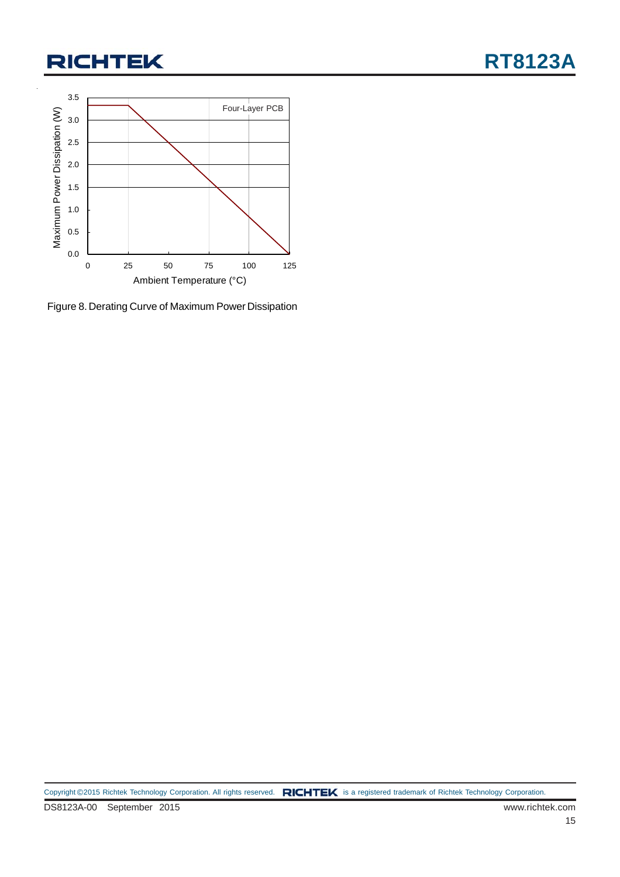

Figure 8. Derating Curve of Maximum Power Dissipation